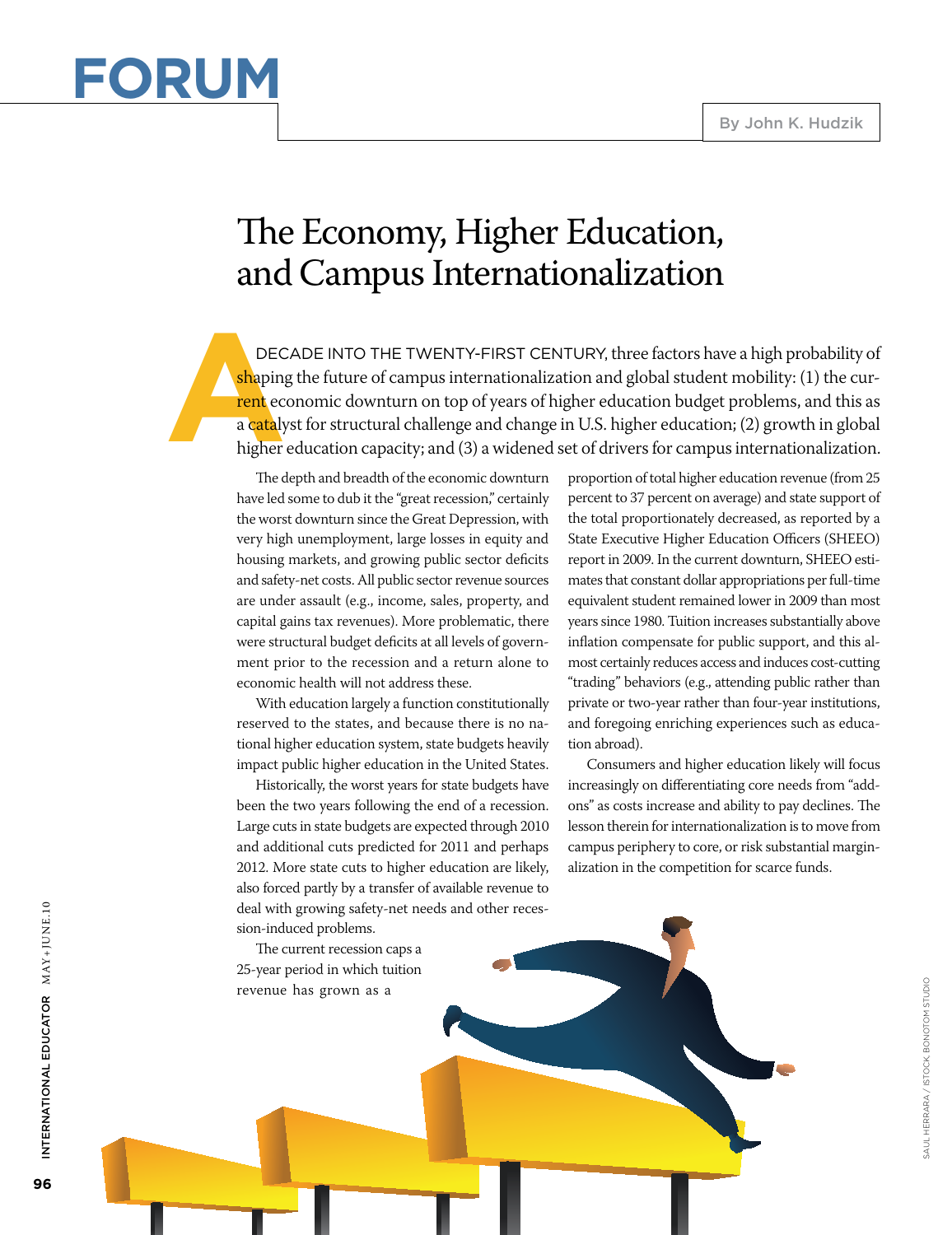

## The Economy, Higher Education, and Campus Internationalization

DEC<br>
shaping<br>
rent ec<br>
a cataly<br>
higher DECADE INTO THE TWENTY-FIRST CENTURY, three factors have a high probability of shaping the future of campus internationalization and global student mobility: (1) the cur-<mark>rent</mark> economic downturn on top of years of higher education budget problems, and this as a catalyst for structural challenge and change in U.S. higher education; (2) growth in global higher education capacity; and (3) a widened set of drivers for campus internationalization.

The depth and breadth of the economic downturn have led some to dub it the "great recession," certainly the worst downturn since the Great Depression, with very high unemployment, large losses in equity and housing markets, and growing public sector deficits and safety-net costs. All public sector revenue sources are under assault (e.g., income, sales, property, and capital gains tax revenues). More problematic, there were structural budget deficits at all levels of government prior to the recession and a return alone to economic health will not address these.

With education largely a function constitutionally reserved to the states, and because there is no national higher education system, state budgets heavily impact public higher education in the United States.

Historically, the worst years for state budgets have been the two years following the end of a recession. Large cuts in state budgets are expected through 2010 and additional cuts predicted for 2011 and perhaps 2012. More state cuts to higher education are likely, also forced partly by a transfer of available revenue to deal with growing safety-net needs and other recession-induced problems.

The current recession caps a 25-year period in which tuition revenue has grown as a

proportion of total higher education revenue (from 25 percent to 37 percent on average) and state support of the total proportionately decreased, as reported by a State Executive Higher Education Officers (SHEEO) report in 2009. In the current downturn, SHEEO estimates that constant dollar appropriations per full-time equivalent student remained lower in 2009 than most years since 1980. Tuition increases substantially above inflation compensate for public support, and this almost certainly reduces access and induces cost-cutting "trading" behaviors (e.g., attending public rather than private or two-year rather than four-year institutions, and foregoing enriching experiences such as education abroad).

Consumers and higher education likely will focus increasingly on differentiating core needs from "addons" as costs increase and ability to pay declines. The lesson therein for internationalization is to move from campus periphery to core, or risk substantial marginalization in the competition for scarce funds.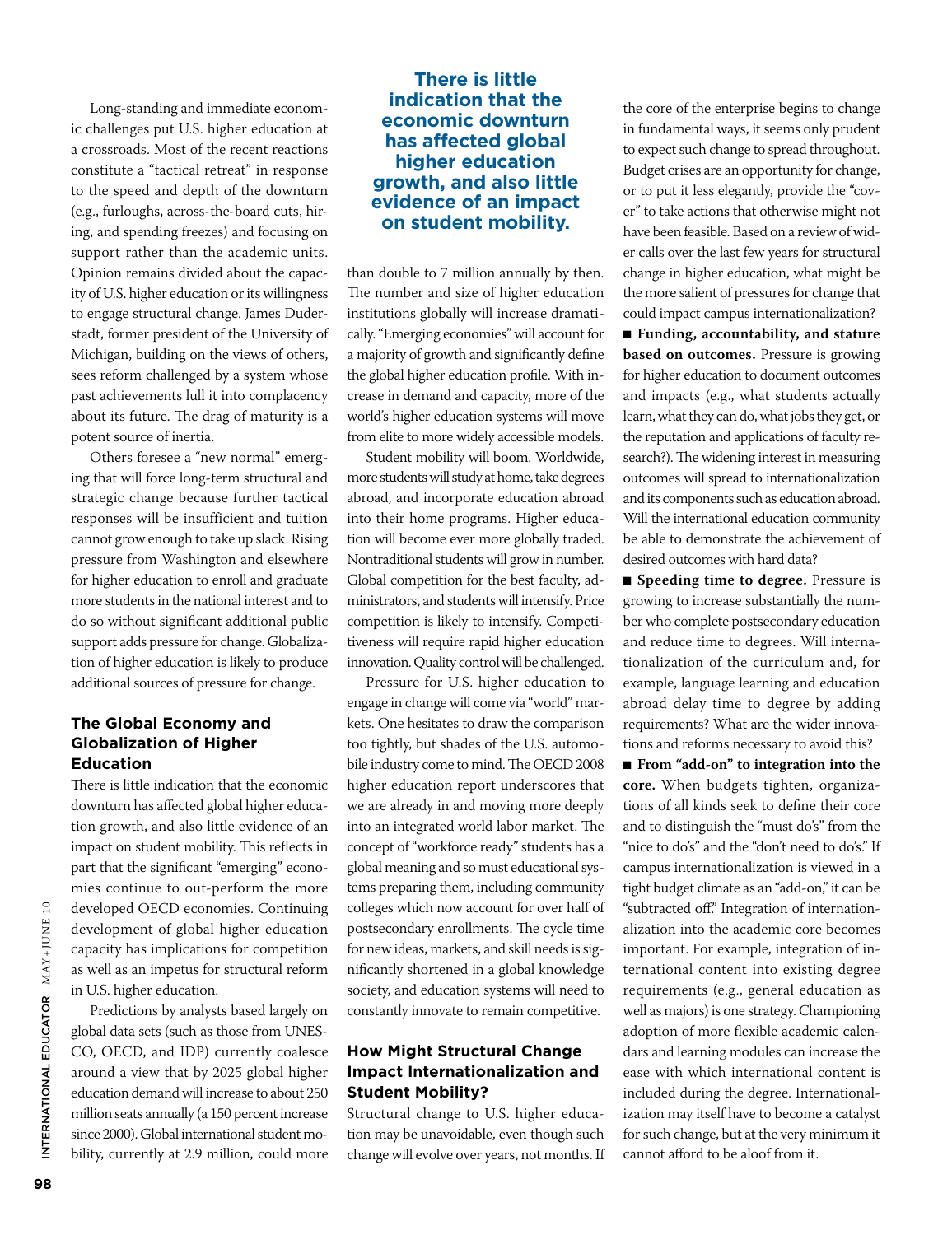Long-standing and immediate economic challenges put U.S. higher education at a crossroads. Most of the recent reactions constitute a "tactical retreat" in response to the speed and depth of the downturn (e.g., furloughs, across-the-board cuts, hiring, and spending freezes) and focusing on support rather than the academic units. Opinion remains divided about the capacity of U.S. higher education or its willingness to engage structural change. James Duderstadt, former president of the University of Michigan, building on the views of others, sees reform challenged by a system whose past achievements lull it into complacency about its future. The drag of maturity is a potent source of inertia.

Others foresee a "new normal" emerging that will force long-term structural and strategic change because further tactical responses will be insufficient and tuition cannot grow enough to take up slack. Rising pressure from Washington and elsewhere for higher education to enroll and graduate more students in the national interest and to do so without significant additional public support adds pressure for change. Globalization of higher education is likely to produce additional sources of pressure for change.

#### **The Global Economy and Globalization of Higher Education**

There is little indication that the economic downturn has affected global higher education growth, and also little evidence of an impact on student mobility. This reflects in part that the significant "emerging" economies continue to out-perform the more developed OECD economies. Continuing development of global higher education capacity has implications for competition as well as an impetus for structural reform in U.S. higher education.

Predictions by analysts based largely on global data sets (such as those from UNES-CO, OECD, and IDP) currently coalesce around a view that by 2025 global higher education demand will increase to about 250 million seats annually (a 150 percent increase since 2000). Global international student mobility, currently at 2.9 million, could more

### **There is little indication that the economic downturn has affected global higher education growth, and also little evidence of an impact on student mobility.**

than double to 7 million annually by then. The number and size of higher education institutions globally will increase dramatically. "Emerging economies" will account for a majority of growth and significantly define the global higher education profile. With increase in demand and capacity, more of the world's higher education systems will move from elite to more widely accessible models.

Student mobility will boom. Worldwide, more students will study at home, take degrees abroad, and incorporate education abroad into their home programs. Higher education will become ever more globally traded. Nontraditional students will grow in number. Global competition for the best faculty, administrators, and students will intensify. Price competition is likely to intensify. Competitiveness will require rapid higher education innovation. Quality control will be challenged.

Pressure for U.S. higher education to engage in change will come via "world" markets. One hesitates to draw the comparison too tightly, but shades of the U.S. automobile industry come to mind. The OECD 2008 higher education report underscores that we are already in and moving more deeply into an integrated world labor market. The concept of "workforce ready" students has a global meaning and so must educational systems preparing them, including community colleges which now account for over half of postsecondary enrollments. The cycle time for new ideas, markets, and skill needs is significantly shortened in a global knowledge society, and education systems will need to constantly innovate to remain competitive.

#### **How Might Structural Change Impact Internationalization and Student Mobility?**

Structural change to U.S. higher education may be unavoidable, even though such change will evolve over years, not months. If

the core of the enterprise begins to change in fundamental ways, it seems only prudent to expect such change to spread throughout. Budget crises are an opportunity for change, or to put it less elegantly, provide the "cover" to take actions that otherwise might not have been feasible. Based on a review of wider calls over the last few years for structural change in higher education, what might be the more salient of pressures for change that could impact campus internationalization?

■ **Funding**, accountability, and stature **based on outcomes.** Pressure is growing for higher education to document outcomes and impacts (e.g., what students actually learn, what they can do, what jobs they get, or the reputation and applications of faculty research?). The widening interest in measuring outcomes will spread to internationalization and its components such as education abroad. Will the international education community be able to demonstrate the achievement of desired outcomes with hard data?

■ **Speeding time to degree.** Pressure is growing to increase substantially the number who complete postsecondary education and reduce time to degrees. Will internationalization of the curriculum and, for example, language learning and education abroad delay time to degree by adding requirements? What are the wider innovations and reforms necessary to avoid this?

■ **From "add-on"** to integration into the **core.** When budgets tighten, organizations of all kinds seek to define their core and to distinguish the "must do's" from the "nice to do's" and the "don't need to do's." If campus internationalization is viewed in a tight budget climate as an "add-on," it can be "subtracted off." Integration of internationalization into the academic core becomes important. For example, integration of international content into existing degree requirements (e.g., general education as well as majors) is one strategy. Championing adoption of more flexible academic calendars and learning modules can increase the ease with which international content is included during the degree. Internationalization may itself have to become a catalyst for such change, but at the very minimum it cannot afford to be aloof from it.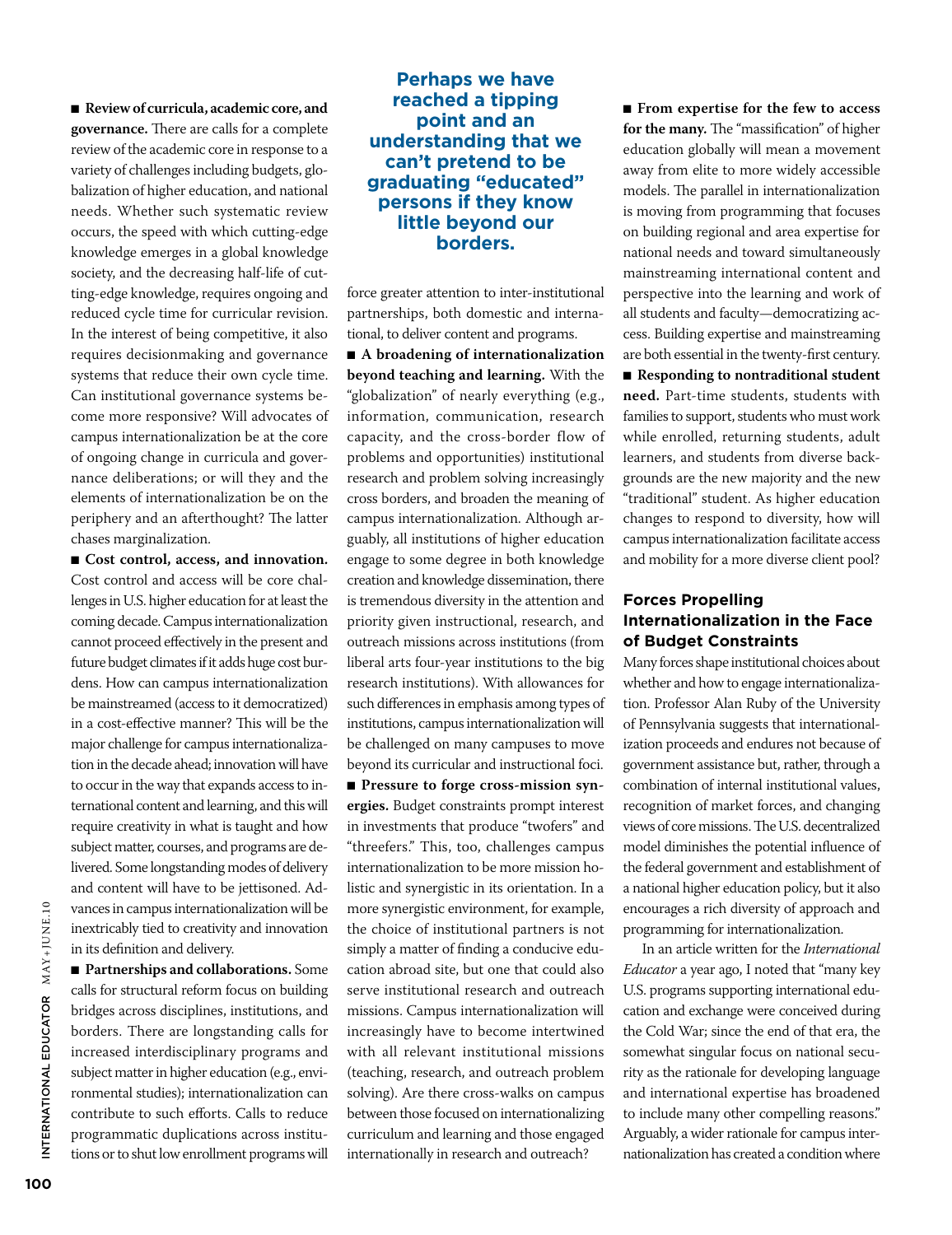■ **Review of curricula, academic core, and governance.** There are calls for a complete review of the academic core in response to a variety of challenges including budgets, globalization of higher education, and national needs. Whether such systematic review occurs, the speed with which cutting-edge knowledge emerges in a global knowledge society, and the decreasing half-life of cutting-edge knowledge, requires ongoing and reduced cycle time for curricular revision. In the interest of being competitive, it also requires decisionmaking and governance systems that reduce their own cycle time. Can institutional governance systems become more responsive? Will advocates of campus internationalization be at the core of ongoing change in curricula and governance deliberations; or will they and the elements of internationalization be on the periphery and an afterthought? The latter chases marginalization.

■ **Cost control, access, and innovation.** Cost control and access will be core challenges in U.S. higher education for at least the coming decade. Campus internationalization cannot proceed effectively in the present and future budget climates if it adds huge cost burdens. How can campus internationalization be mainstreamed (access to it democratized) in a cost-effective manner? This will be the major challenge for campus internationalization in the decade ahead; innovation will have to occur in the way that expands access to international content and learning, and this will require creativity in what is taught and how subject matter, courses, and programs are delivered. Some longstanding modes of delivery and content will have to be jettisoned. Advances in campus internationalization will be inextricably tied to creativity and innovation in its definition and delivery.

■ **Partnerships and collaborations.** Some calls for structural reform focus on building bridges across disciplines, institutions, and borders. There are longstanding calls for increased interdisciplinary programs and subject matter in higher education (e.g., environmental studies); internationalization can contribute to such efforts. Calls to reduce programmatic duplications across institutions or to shut low enrollment programs will

#### **Perhaps we have reached a tipping point and an understanding that we can't pretend to be graduating "educated" persons if they know little beyond our borders.**

force greater attention to inter-institutional partnerships, both domestic and international, to deliver content and programs.

■ **A** broadening of internationalization **beyond teaching and learning.** With the "globalization" of nearly everything (e.g., information, communication, research capacity, and the cross-border flow of problems and opportunities) institutional research and problem solving increasingly cross borders, and broaden the meaning of campus internationalization. Although arguably, all institutions of higher education engage to some degree in both knowledge creation and knowledge dissemination, there is tremendous diversity in the attention and priority given instructional, research, and outreach missions across institutions (from liberal arts four-year institutions to the big research institutions). With allowances for such differences in emphasis among types of institutions, campus internationalization will be challenged on many campuses to move beyond its curricular and instructional foci. ■ **Pressure to forge cross-mission synergies.** Budget constraints prompt interest in investments that produce "twofers" and

"threefers." This, too, challenges campus internationalization to be more mission holistic and synergistic in its orientation. In a more synergistic environment, for example, the choice of institutional partners is not simply a matter of finding a conducive education abroad site, but one that could also serve institutional research and outreach missions. Campus internationalization will increasingly have to become intertwined with all relevant institutional missions (teaching, research, and outreach problem solving). Are there cross-walks on campus between those focused on internationalizing curriculum and learning and those engaged internationally in research and outreach?

■ **From expertise for the few to access for the many.** The "massification" of higher education globally will mean a movement away from elite to more widely accessible models. The parallel in internationalization is moving from programming that focuses on building regional and area expertise for national needs and toward simultaneously mainstreaming international content and perspective into the learning and work of all students and faculty—democratizing access. Building expertise and mainstreaming are both essential in the twenty-first century. ■ **Responding to nontraditional student need.** Part-time students, students with families to support, students who must work while enrolled, returning students, adult learners, and students from diverse backgrounds are the new majority and the new "traditional" student. As higher education changes to respond to diversity, how will campus internationalization facilitate access and mobility for a more diverse client pool?

#### **Forces Propelling Internationalization in the Face of Budget Constraints**

Many forces shape institutional choices about whether and how to engage internationalization. Professor Alan Ruby of the University of Pennsylvania suggests that internationalization proceeds and endures not because of government assistance but, rather, through a combination of internal institutional values, recognition of market forces, and changing views of core missions. The U.S. decentralized model diminishes the potential influence of the federal government and establishment of a national higher education policy, but it also encourages a rich diversity of approach and programming for internationalization.

In an article written for the *International Educator* a year ago, I noted that "many key U.S. programs supporting international education and exchange were conceived during the Cold War; since the end of that era, the somewhat singular focus on national security as the rationale for developing language and international expertise has broadened to include many other compelling reasons." Arguably, a wider rationale for campus internationalization has created a condition where